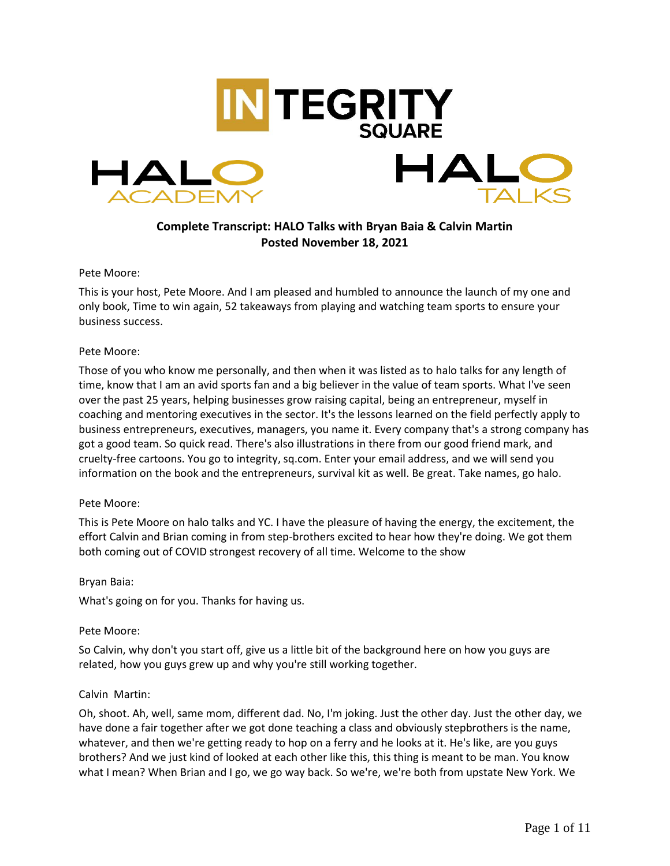

# **Complete Transcript: HALO Talks with Bryan Baia & Calvin Martin Posted November 18, 2021**

### Pete Moore:

This is your host, Pete Moore. And I am pleased and humbled to announce the launch of my one and only book, Time to win again, 52 takeaways from playing and watching team sports to ensure your business success.

### Pete Moore:

Those of you who know me personally, and then when it was listed as to halo talks for any length of time, know that I am an avid sports fan and a big believer in the value of team sports. What I've seen over the past 25 years, helping businesses grow raising capital, being an entrepreneur, myself in coaching and mentoring executives in the sector. It's the lessons learned on the field perfectly apply to business entrepreneurs, executives, managers, you name it. Every company that's a strong company has got a good team. So quick read. There's also illustrations in there from our good friend mark, and cruelty-free cartoons. You go to integrity, sq.com. Enter your email address, and we will send you information on the book and the entrepreneurs, survival kit as well. Be great. Take names, go halo.

#### Pete Moore:

This is Pete Moore on halo talks and YC. I have the pleasure of having the energy, the excitement, the effort Calvin and Brian coming in from step-brothers excited to hear how they're doing. We got them both coming out of COVID strongest recovery of all time. Welcome to the show

#### Bryan Baia:

What's going on for you. Thanks for having us.

# Pete Moore:

So Calvin, why don't you start off, give us a little bit of the background here on how you guys are related, how you guys grew up and why you're still working together.

#### Calvin Martin:

Oh, shoot. Ah, well, same mom, different dad. No, I'm joking. Just the other day. Just the other day, we have done a fair together after we got done teaching a class and obviously stepbrothers is the name, whatever, and then we're getting ready to hop on a ferry and he looks at it. He's like, are you guys brothers? And we just kind of looked at each other like this, this thing is meant to be man. You know what I mean? When Brian and I go, we go way back. So we're, we're both from upstate New York. We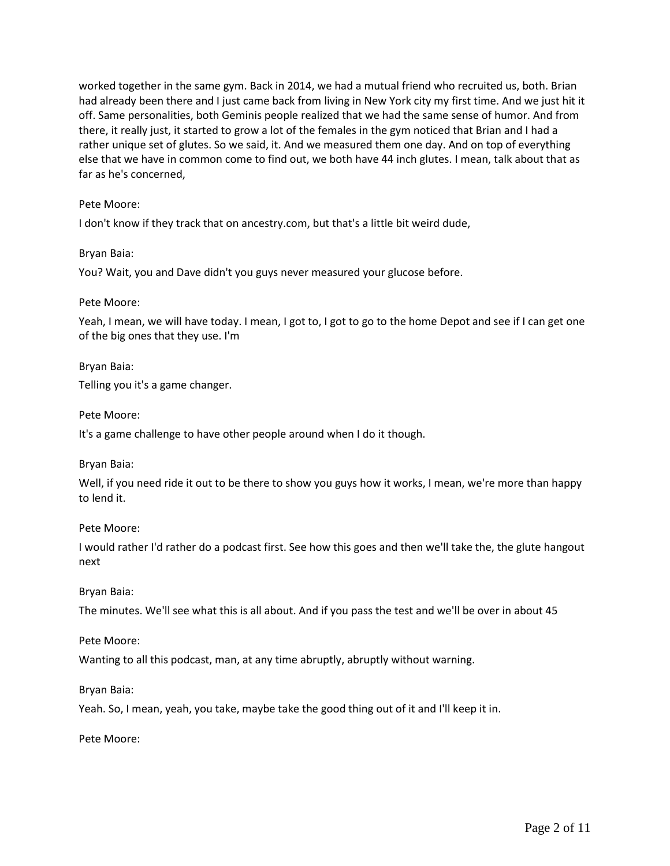worked together in the same gym. Back in 2014, we had a mutual friend who recruited us, both. Brian had already been there and I just came back from living in New York city my first time. And we just hit it off. Same personalities, both Geminis people realized that we had the same sense of humor. And from there, it really just, it started to grow a lot of the females in the gym noticed that Brian and I had a rather unique set of glutes. So we said, it. And we measured them one day. And on top of everything else that we have in common come to find out, we both have 44 inch glutes. I mean, talk about that as far as he's concerned,

### Pete Moore:

I don't know if they track that on ancestry.com, but that's a little bit weird dude,

Bryan Baia:

You? Wait, you and Dave didn't you guys never measured your glucose before.

#### Pete Moore:

Yeah, I mean, we will have today. I mean, I got to, I got to go to the home Depot and see if I can get one of the big ones that they use. I'm

Bryan Baia:

Telling you it's a game changer.

Pete Moore:

It's a game challenge to have other people around when I do it though.

Bryan Baia:

Well, if you need ride it out to be there to show you guys how it works, I mean, we're more than happy to lend it.

#### Pete Moore:

I would rather I'd rather do a podcast first. See how this goes and then we'll take the, the glute hangout next

#### Bryan Baia:

The minutes. We'll see what this is all about. And if you pass the test and we'll be over in about 45

Pete Moore:

Wanting to all this podcast, man, at any time abruptly, abruptly without warning.

#### Bryan Baia:

Yeah. So, I mean, yeah, you take, maybe take the good thing out of it and I'll keep it in.

Pete Moore: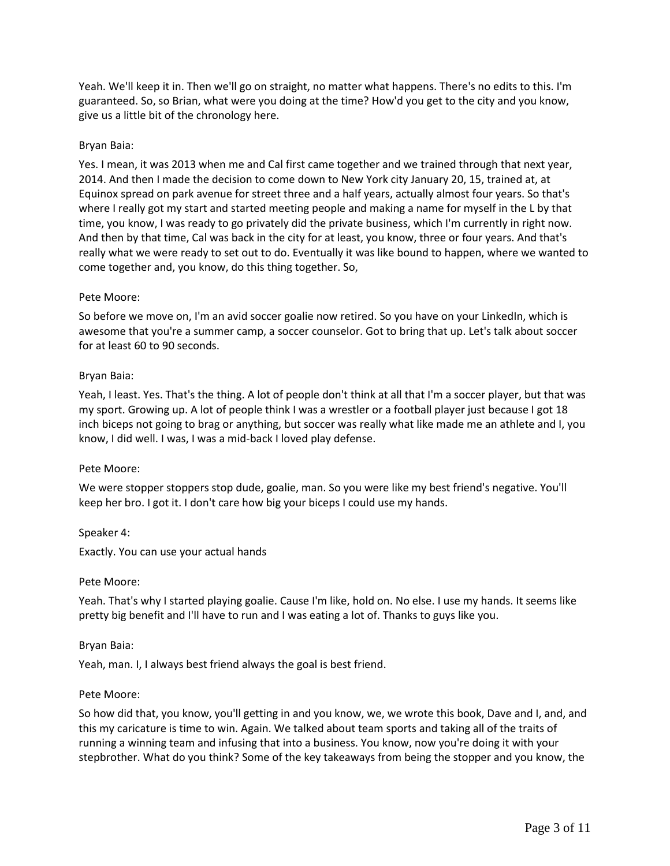Yeah. We'll keep it in. Then we'll go on straight, no matter what happens. There's no edits to this. I'm guaranteed. So, so Brian, what were you doing at the time? How'd you get to the city and you know, give us a little bit of the chronology here.

### Bryan Baia:

Yes. I mean, it was 2013 when me and Cal first came together and we trained through that next year, 2014. And then I made the decision to come down to New York city January 20, 15, trained at, at Equinox spread on park avenue for street three and a half years, actually almost four years. So that's where I really got my start and started meeting people and making a name for myself in the L by that time, you know, I was ready to go privately did the private business, which I'm currently in right now. And then by that time, Cal was back in the city for at least, you know, three or four years. And that's really what we were ready to set out to do. Eventually it was like bound to happen, where we wanted to come together and, you know, do this thing together. So,

### Pete Moore:

So before we move on, I'm an avid soccer goalie now retired. So you have on your LinkedIn, which is awesome that you're a summer camp, a soccer counselor. Got to bring that up. Let's talk about soccer for at least 60 to 90 seconds.

### Bryan Baia:

Yeah, I least. Yes. That's the thing. A lot of people don't think at all that I'm a soccer player, but that was my sport. Growing up. A lot of people think I was a wrestler or a football player just because I got 18 inch biceps not going to brag or anything, but soccer was really what like made me an athlete and I, you know, I did well. I was, I was a mid-back I loved play defense.

#### Pete Moore:

We were stopper stoppers stop dude, goalie, man. So you were like my best friend's negative. You'll keep her bro. I got it. I don't care how big your biceps I could use my hands.

#### Speaker 4:

Exactly. You can use your actual hands

#### Pete Moore:

Yeah. That's why I started playing goalie. Cause I'm like, hold on. No else. I use my hands. It seems like pretty big benefit and I'll have to run and I was eating a lot of. Thanks to guys like you.

#### Bryan Baia:

Yeah, man. I, I always best friend always the goal is best friend.

#### Pete Moore:

So how did that, you know, you'll getting in and you know, we, we wrote this book, Dave and I, and, and this my caricature is time to win. Again. We talked about team sports and taking all of the traits of running a winning team and infusing that into a business. You know, now you're doing it with your stepbrother. What do you think? Some of the key takeaways from being the stopper and you know, the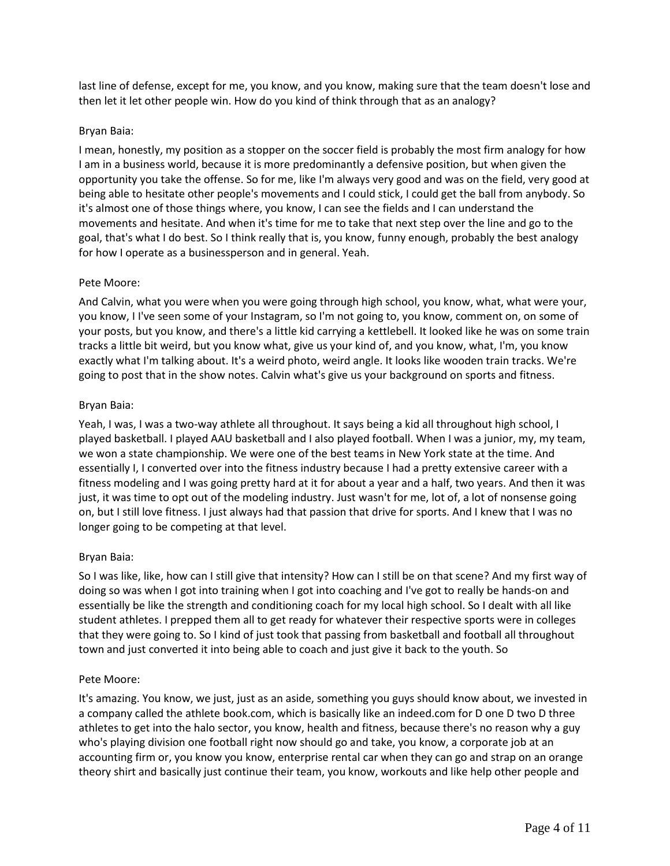last line of defense, except for me, you know, and you know, making sure that the team doesn't lose and then let it let other people win. How do you kind of think through that as an analogy?

# Bryan Baia:

I mean, honestly, my position as a stopper on the soccer field is probably the most firm analogy for how I am in a business world, because it is more predominantly a defensive position, but when given the opportunity you take the offense. So for me, like I'm always very good and was on the field, very good at being able to hesitate other people's movements and I could stick, I could get the ball from anybody. So it's almost one of those things where, you know, I can see the fields and I can understand the movements and hesitate. And when it's time for me to take that next step over the line and go to the goal, that's what I do best. So I think really that is, you know, funny enough, probably the best analogy for how I operate as a businessperson and in general. Yeah.

### Pete Moore:

And Calvin, what you were when you were going through high school, you know, what, what were your, you know, I I've seen some of your Instagram, so I'm not going to, you know, comment on, on some of your posts, but you know, and there's a little kid carrying a kettlebell. It looked like he was on some train tracks a little bit weird, but you know what, give us your kind of, and you know, what, I'm, you know exactly what I'm talking about. It's a weird photo, weird angle. It looks like wooden train tracks. We're going to post that in the show notes. Calvin what's give us your background on sports and fitness.

### Bryan Baia:

Yeah, I was, I was a two-way athlete all throughout. It says being a kid all throughout high school, I played basketball. I played AAU basketball and I also played football. When I was a junior, my, my team, we won a state championship. We were one of the best teams in New York state at the time. And essentially I, I converted over into the fitness industry because I had a pretty extensive career with a fitness modeling and I was going pretty hard at it for about a year and a half, two years. And then it was just, it was time to opt out of the modeling industry. Just wasn't for me, lot of, a lot of nonsense going on, but I still love fitness. I just always had that passion that drive for sports. And I knew that I was no longer going to be competing at that level.

# Bryan Baia:

So I was like, like, how can I still give that intensity? How can I still be on that scene? And my first way of doing so was when I got into training when I got into coaching and I've got to really be hands-on and essentially be like the strength and conditioning coach for my local high school. So I dealt with all like student athletes. I prepped them all to get ready for whatever their respective sports were in colleges that they were going to. So I kind of just took that passing from basketball and football all throughout town and just converted it into being able to coach and just give it back to the youth. So

# Pete Moore:

It's amazing. You know, we just, just as an aside, something you guys should know about, we invested in a company called the athlete book.com, which is basically like an indeed.com for D one D two D three athletes to get into the halo sector, you know, health and fitness, because there's no reason why a guy who's playing division one football right now should go and take, you know, a corporate job at an accounting firm or, you know you know, enterprise rental car when they can go and strap on an orange theory shirt and basically just continue their team, you know, workouts and like help other people and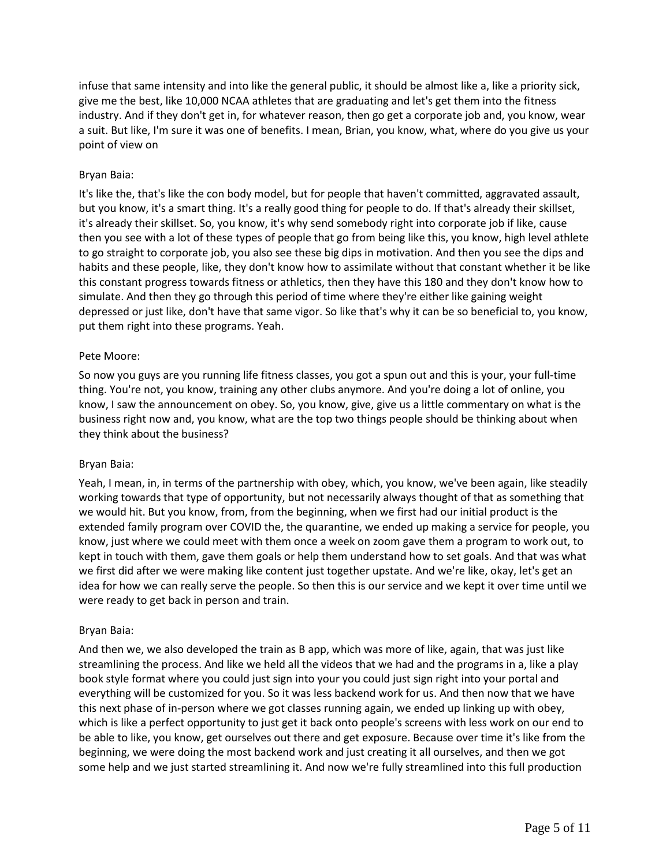infuse that same intensity and into like the general public, it should be almost like a, like a priority sick, give me the best, like 10,000 NCAA athletes that are graduating and let's get them into the fitness industry. And if they don't get in, for whatever reason, then go get a corporate job and, you know, wear a suit. But like, I'm sure it was one of benefits. I mean, Brian, you know, what, where do you give us your point of view on

# Bryan Baia:

It's like the, that's like the con body model, but for people that haven't committed, aggravated assault, but you know, it's a smart thing. It's a really good thing for people to do. If that's already their skillset, it's already their skillset. So, you know, it's why send somebody right into corporate job if like, cause then you see with a lot of these types of people that go from being like this, you know, high level athlete to go straight to corporate job, you also see these big dips in motivation. And then you see the dips and habits and these people, like, they don't know how to assimilate without that constant whether it be like this constant progress towards fitness or athletics, then they have this 180 and they don't know how to simulate. And then they go through this period of time where they're either like gaining weight depressed or just like, don't have that same vigor. So like that's why it can be so beneficial to, you know, put them right into these programs. Yeah.

# Pete Moore:

So now you guys are you running life fitness classes, you got a spun out and this is your, your full-time thing. You're not, you know, training any other clubs anymore. And you're doing a lot of online, you know, I saw the announcement on obey. So, you know, give, give us a little commentary on what is the business right now and, you know, what are the top two things people should be thinking about when they think about the business?

# Bryan Baia:

Yeah, I mean, in, in terms of the partnership with obey, which, you know, we've been again, like steadily working towards that type of opportunity, but not necessarily always thought of that as something that we would hit. But you know, from, from the beginning, when we first had our initial product is the extended family program over COVID the, the quarantine, we ended up making a service for people, you know, just where we could meet with them once a week on zoom gave them a program to work out, to kept in touch with them, gave them goals or help them understand how to set goals. And that was what we first did after we were making like content just together upstate. And we're like, okay, let's get an idea for how we can really serve the people. So then this is our service and we kept it over time until we were ready to get back in person and train.

# Bryan Baia:

And then we, we also developed the train as B app, which was more of like, again, that was just like streamlining the process. And like we held all the videos that we had and the programs in a, like a play book style format where you could just sign into your you could just sign right into your portal and everything will be customized for you. So it was less backend work for us. And then now that we have this next phase of in-person where we got classes running again, we ended up linking up with obey, which is like a perfect opportunity to just get it back onto people's screens with less work on our end to be able to like, you know, get ourselves out there and get exposure. Because over time it's like from the beginning, we were doing the most backend work and just creating it all ourselves, and then we got some help and we just started streamlining it. And now we're fully streamlined into this full production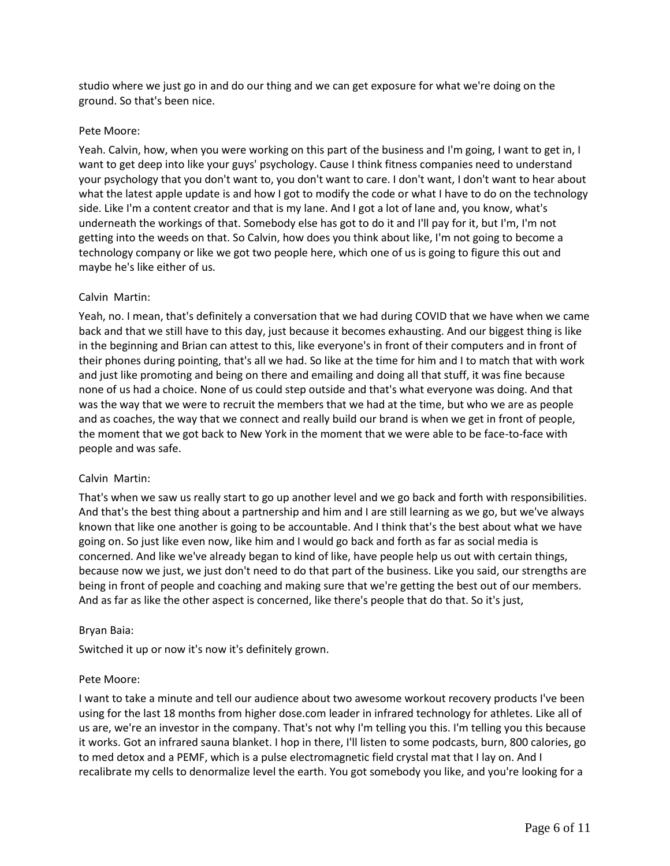studio where we just go in and do our thing and we can get exposure for what we're doing on the ground. So that's been nice.

### Pete Moore:

Yeah. Calvin, how, when you were working on this part of the business and I'm going, I want to get in, I want to get deep into like your guys' psychology. Cause I think fitness companies need to understand your psychology that you don't want to, you don't want to care. I don't want, I don't want to hear about what the latest apple update is and how I got to modify the code or what I have to do on the technology side. Like I'm a content creator and that is my lane. And I got a lot of lane and, you know, what's underneath the workings of that. Somebody else has got to do it and I'll pay for it, but I'm, I'm not getting into the weeds on that. So Calvin, how does you think about like, I'm not going to become a technology company or like we got two people here, which one of us is going to figure this out and maybe he's like either of us.

# Calvin Martin:

Yeah, no. I mean, that's definitely a conversation that we had during COVID that we have when we came back and that we still have to this day, just because it becomes exhausting. And our biggest thing is like in the beginning and Brian can attest to this, like everyone's in front of their computers and in front of their phones during pointing, that's all we had. So like at the time for him and I to match that with work and just like promoting and being on there and emailing and doing all that stuff, it was fine because none of us had a choice. None of us could step outside and that's what everyone was doing. And that was the way that we were to recruit the members that we had at the time, but who we are as people and as coaches, the way that we connect and really build our brand is when we get in front of people, the moment that we got back to New York in the moment that we were able to be face-to-face with people and was safe.

# Calvin Martin:

That's when we saw us really start to go up another level and we go back and forth with responsibilities. And that's the best thing about a partnership and him and I are still learning as we go, but we've always known that like one another is going to be accountable. And I think that's the best about what we have going on. So just like even now, like him and I would go back and forth as far as social media is concerned. And like we've already began to kind of like, have people help us out with certain things, because now we just, we just don't need to do that part of the business. Like you said, our strengths are being in front of people and coaching and making sure that we're getting the best out of our members. And as far as like the other aspect is concerned, like there's people that do that. So it's just,

#### Bryan Baia:

Switched it up or now it's now it's definitely grown.

#### Pete Moore:

I want to take a minute and tell our audience about two awesome workout recovery products I've been using for the last 18 months from higher dose.com leader in infrared technology for athletes. Like all of us are, we're an investor in the company. That's not why I'm telling you this. I'm telling you this because it works. Got an infrared sauna blanket. I hop in there, I'll listen to some podcasts, burn, 800 calories, go to med detox and a PEMF, which is a pulse electromagnetic field crystal mat that I lay on. And I recalibrate my cells to denormalize level the earth. You got somebody you like, and you're looking for a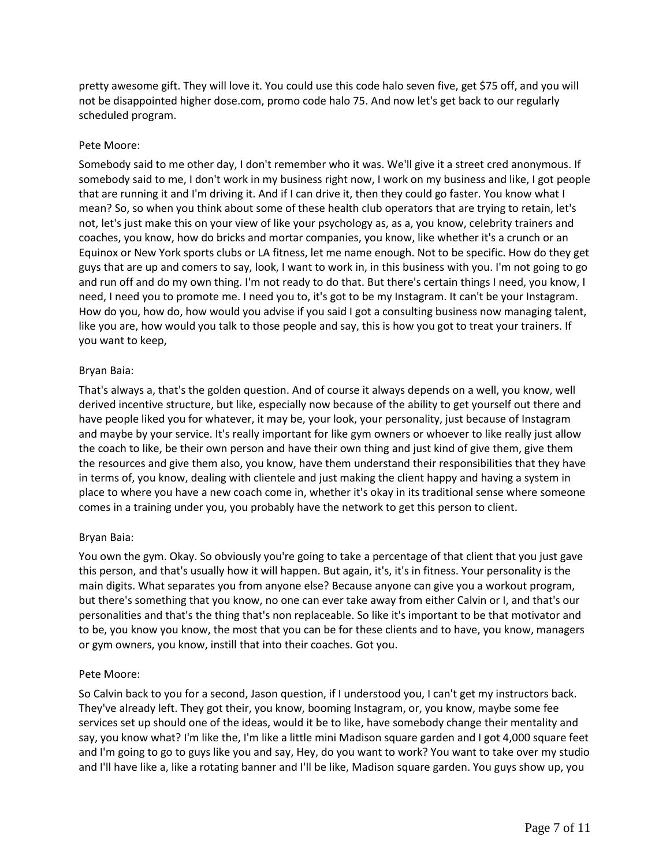pretty awesome gift. They will love it. You could use this code halo seven five, get \$75 off, and you will not be disappointed higher dose.com, promo code halo 75. And now let's get back to our regularly scheduled program.

# Pete Moore:

Somebody said to me other day, I don't remember who it was. We'll give it a street cred anonymous. If somebody said to me, I don't work in my business right now, I work on my business and like, I got people that are running it and I'm driving it. And if I can drive it, then they could go faster. You know what I mean? So, so when you think about some of these health club operators that are trying to retain, let's not, let's just make this on your view of like your psychology as, as a, you know, celebrity trainers and coaches, you know, how do bricks and mortar companies, you know, like whether it's a crunch or an Equinox or New York sports clubs or LA fitness, let me name enough. Not to be specific. How do they get guys that are up and comers to say, look, I want to work in, in this business with you. I'm not going to go and run off and do my own thing. I'm not ready to do that. But there's certain things I need, you know, I need, I need you to promote me. I need you to, it's got to be my Instagram. It can't be your Instagram. How do you, how do, how would you advise if you said I got a consulting business now managing talent, like you are, how would you talk to those people and say, this is how you got to treat your trainers. If you want to keep,

### Bryan Baia:

That's always a, that's the golden question. And of course it always depends on a well, you know, well derived incentive structure, but like, especially now because of the ability to get yourself out there and have people liked you for whatever, it may be, your look, your personality, just because of Instagram and maybe by your service. It's really important for like gym owners or whoever to like really just allow the coach to like, be their own person and have their own thing and just kind of give them, give them the resources and give them also, you know, have them understand their responsibilities that they have in terms of, you know, dealing with clientele and just making the client happy and having a system in place to where you have a new coach come in, whether it's okay in its traditional sense where someone comes in a training under you, you probably have the network to get this person to client.

# Bryan Baia:

You own the gym. Okay. So obviously you're going to take a percentage of that client that you just gave this person, and that's usually how it will happen. But again, it's, it's in fitness. Your personality is the main digits. What separates you from anyone else? Because anyone can give you a workout program, but there's something that you know, no one can ever take away from either Calvin or I, and that's our personalities and that's the thing that's non replaceable. So like it's important to be that motivator and to be, you know you know, the most that you can be for these clients and to have, you know, managers or gym owners, you know, instill that into their coaches. Got you.

# Pete Moore:

So Calvin back to you for a second, Jason question, if I understood you, I can't get my instructors back. They've already left. They got their, you know, booming Instagram, or, you know, maybe some fee services set up should one of the ideas, would it be to like, have somebody change their mentality and say, you know what? I'm like the, I'm like a little mini Madison square garden and I got 4,000 square feet and I'm going to go to guys like you and say, Hey, do you want to work? You want to take over my studio and I'll have like a, like a rotating banner and I'll be like, Madison square garden. You guys show up, you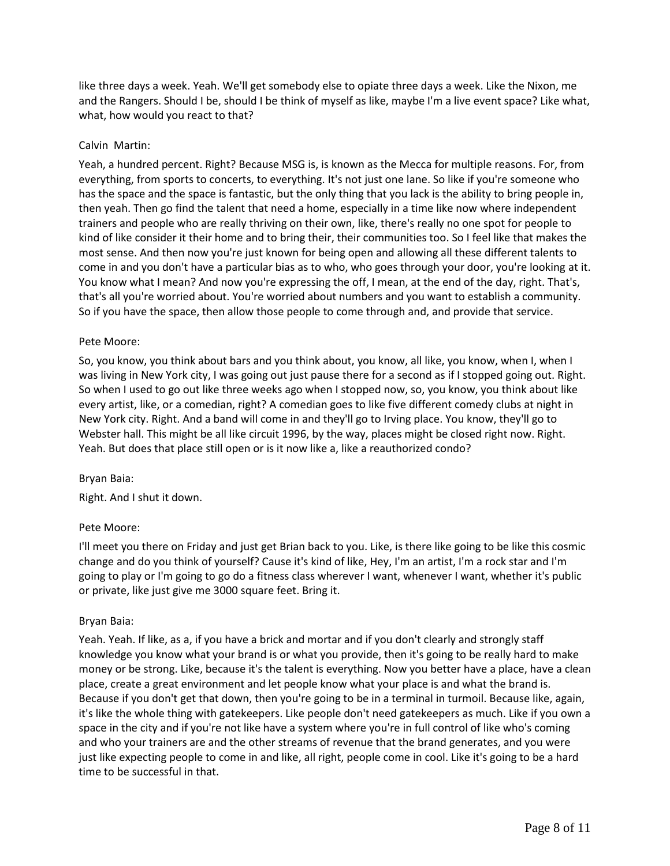like three days a week. Yeah. We'll get somebody else to opiate three days a week. Like the Nixon, me and the Rangers. Should I be, should I be think of myself as like, maybe I'm a live event space? Like what, what, how would you react to that?

### Calvin Martin:

Yeah, a hundred percent. Right? Because MSG is, is known as the Mecca for multiple reasons. For, from everything, from sports to concerts, to everything. It's not just one lane. So like if you're someone who has the space and the space is fantastic, but the only thing that you lack is the ability to bring people in, then yeah. Then go find the talent that need a home, especially in a time like now where independent trainers and people who are really thriving on their own, like, there's really no one spot for people to kind of like consider it their home and to bring their, their communities too. So I feel like that makes the most sense. And then now you're just known for being open and allowing all these different talents to come in and you don't have a particular bias as to who, who goes through your door, you're looking at it. You know what I mean? And now you're expressing the off, I mean, at the end of the day, right. That's, that's all you're worried about. You're worried about numbers and you want to establish a community. So if you have the space, then allow those people to come through and, and provide that service.

### Pete Moore:

So, you know, you think about bars and you think about, you know, all like, you know, when I, when I was living in New York city, I was going out just pause there for a second as if I stopped going out. Right. So when I used to go out like three weeks ago when I stopped now, so, you know, you think about like every artist, like, or a comedian, right? A comedian goes to like five different comedy clubs at night in New York city. Right. And a band will come in and they'll go to Irving place. You know, they'll go to Webster hall. This might be all like circuit 1996, by the way, places might be closed right now. Right. Yeah. But does that place still open or is it now like a, like a reauthorized condo?

#### Bryan Baia:

Right. And I shut it down.

# Pete Moore:

I'll meet you there on Friday and just get Brian back to you. Like, is there like going to be like this cosmic change and do you think of yourself? Cause it's kind of like, Hey, I'm an artist, I'm a rock star and I'm going to play or I'm going to go do a fitness class wherever I want, whenever I want, whether it's public or private, like just give me 3000 square feet. Bring it.

#### Bryan Baia:

Yeah. Yeah. If like, as a, if you have a brick and mortar and if you don't clearly and strongly staff knowledge you know what your brand is or what you provide, then it's going to be really hard to make money or be strong. Like, because it's the talent is everything. Now you better have a place, have a clean place, create a great environment and let people know what your place is and what the brand is. Because if you don't get that down, then you're going to be in a terminal in turmoil. Because like, again, it's like the whole thing with gatekeepers. Like people don't need gatekeepers as much. Like if you own a space in the city and if you're not like have a system where you're in full control of like who's coming and who your trainers are and the other streams of revenue that the brand generates, and you were just like expecting people to come in and like, all right, people come in cool. Like it's going to be a hard time to be successful in that.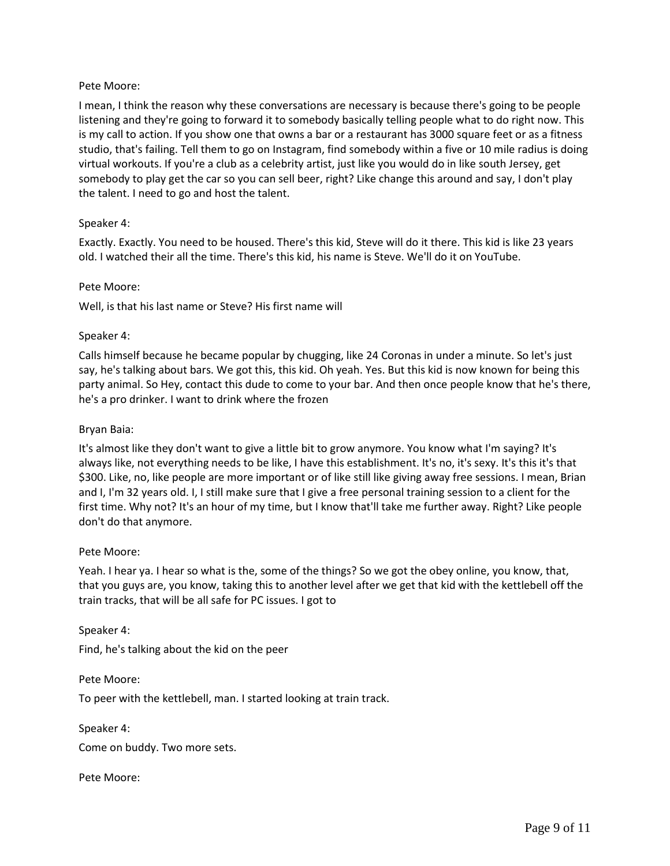# Pete Moore:

I mean, I think the reason why these conversations are necessary is because there's going to be people listening and they're going to forward it to somebody basically telling people what to do right now. This is my call to action. If you show one that owns a bar or a restaurant has 3000 square feet or as a fitness studio, that's failing. Tell them to go on Instagram, find somebody within a five or 10 mile radius is doing virtual workouts. If you're a club as a celebrity artist, just like you would do in like south Jersey, get somebody to play get the car so you can sell beer, right? Like change this around and say, I don't play the talent. I need to go and host the talent.

# Speaker 4:

Exactly. Exactly. You need to be housed. There's this kid, Steve will do it there. This kid is like 23 years old. I watched their all the time. There's this kid, his name is Steve. We'll do it on YouTube.

# Pete Moore:

Well, is that his last name or Steve? His first name will

# Speaker 4:

Calls himself because he became popular by chugging, like 24 Coronas in under a minute. So let's just say, he's talking about bars. We got this, this kid. Oh yeah. Yes. But this kid is now known for being this party animal. So Hey, contact this dude to come to your bar. And then once people know that he's there, he's a pro drinker. I want to drink where the frozen

### Bryan Baia:

It's almost like they don't want to give a little bit to grow anymore. You know what I'm saying? It's always like, not everything needs to be like, I have this establishment. It's no, it's sexy. It's this it's that \$300. Like, no, like people are more important or of like still like giving away free sessions. I mean, Brian and I, I'm 32 years old. I, I still make sure that I give a free personal training session to a client for the first time. Why not? It's an hour of my time, but I know that'll take me further away. Right? Like people don't do that anymore.

# Pete Moore:

Yeah. I hear ya. I hear so what is the, some of the things? So we got the obey online, you know, that, that you guys are, you know, taking this to another level after we get that kid with the kettlebell off the train tracks, that will be all safe for PC issues. I got to

Speaker 4:

Find, he's talking about the kid on the peer

Pete Moore:

To peer with the kettlebell, man. I started looking at train track.

Speaker 4: Come on buddy. Two more sets.

Pete Moore: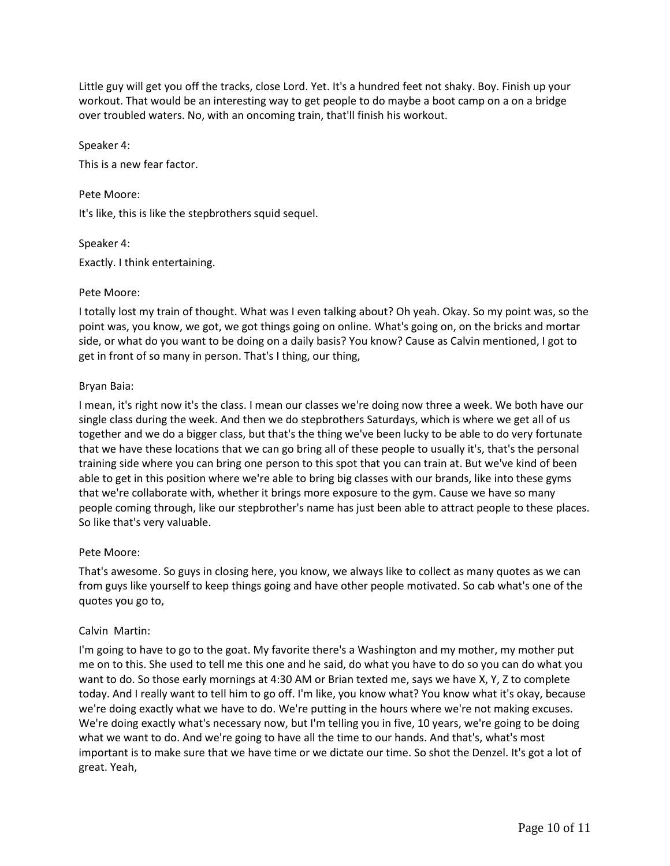Little guy will get you off the tracks, close Lord. Yet. It's a hundred feet not shaky. Boy. Finish up your workout. That would be an interesting way to get people to do maybe a boot camp on a on a bridge over troubled waters. No, with an oncoming train, that'll finish his workout.

Speaker 4: This is a new fear factor.

Pete Moore: It's like, this is like the stepbrothers squid sequel.

Speaker 4: Exactly. I think entertaining.

# Pete Moore:

I totally lost my train of thought. What was I even talking about? Oh yeah. Okay. So my point was, so the point was, you know, we got, we got things going on online. What's going on, on the bricks and mortar side, or what do you want to be doing on a daily basis? You know? Cause as Calvin mentioned, I got to get in front of so many in person. That's I thing, our thing,

# Bryan Baia:

I mean, it's right now it's the class. I mean our classes we're doing now three a week. We both have our single class during the week. And then we do stepbrothers Saturdays, which is where we get all of us together and we do a bigger class, but that's the thing we've been lucky to be able to do very fortunate that we have these locations that we can go bring all of these people to usually it's, that's the personal training side where you can bring one person to this spot that you can train at. But we've kind of been able to get in this position where we're able to bring big classes with our brands, like into these gyms that we're collaborate with, whether it brings more exposure to the gym. Cause we have so many people coming through, like our stepbrother's name has just been able to attract people to these places. So like that's very valuable.

# Pete Moore:

That's awesome. So guys in closing here, you know, we always like to collect as many quotes as we can from guys like yourself to keep things going and have other people motivated. So cab what's one of the quotes you go to,

# Calvin Martin:

I'm going to have to go to the goat. My favorite there's a Washington and my mother, my mother put me on to this. She used to tell me this one and he said, do what you have to do so you can do what you want to do. So those early mornings at 4:30 AM or Brian texted me, says we have X, Y, Z to complete today. And I really want to tell him to go off. I'm like, you know what? You know what it's okay, because we're doing exactly what we have to do. We're putting in the hours where we're not making excuses. We're doing exactly what's necessary now, but I'm telling you in five, 10 years, we're going to be doing what we want to do. And we're going to have all the time to our hands. And that's, what's most important is to make sure that we have time or we dictate our time. So shot the Denzel. It's got a lot of great. Yeah,